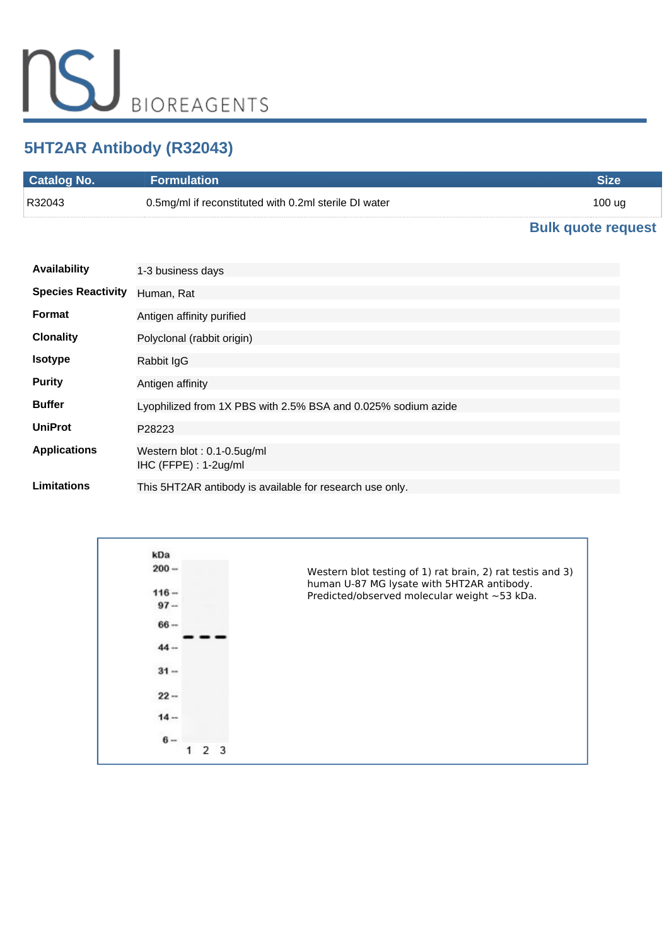# **5HT2AR Antibody (R32043)**

| <b>Catalog No.</b> | <b>Formulation</b>                                    | Size                 |
|--------------------|-------------------------------------------------------|----------------------|
| R32043             | 0.5mg/ml if reconstituted with 0.2ml sterile DI water | 100 ug               |
|                    |                                                       | Dulle missie verwerk |

#### **[Bulk quote request](https://www.nsjbio.com/bulk_quotereq.php?root_cat_no=R32043)**

| <b>Availability</b>       | 1-3 business days                                             |
|---------------------------|---------------------------------------------------------------|
| <b>Species Reactivity</b> | Human, Rat                                                    |
| <b>Format</b>             | Antigen affinity purified                                     |
| <b>Clonality</b>          | Polyclonal (rabbit origin)                                    |
| <b>Isotype</b>            | Rabbit IgG                                                    |
| <b>Purity</b>             | Antigen affinity                                              |
| <b>Buffer</b>             | Lyophilized from 1X PBS with 2.5% BSA and 0.025% sodium azide |
| <b>UniProt</b>            | P28223                                                        |
| <b>Applications</b>       | Western blot: 0.1-0.5ug/ml<br>$HC$ (FFPE) : 1-2ug/ml          |
| <b>Limitations</b>        | This 5HT2AR antibody is available for research use only.      |

| kDa     |                                                                                                          |
|---------|----------------------------------------------------------------------------------------------------------|
| $200 -$ | Western blot testing of 1) rat brain, 2) rat testis and 3)<br>human U-87 MG lysate with 5HT2AR antibody. |
| $116 -$ | Predicted/observed molecular weight ~53 kDa.                                                             |
| $97 -$  |                                                                                                          |
| $66 -$  |                                                                                                          |
| $44 -$  |                                                                                                          |
| $31 -$  |                                                                                                          |
| $22 -$  |                                                                                                          |
| $14 -$  |                                                                                                          |
| $6 -$   |                                                                                                          |
|         |                                                                                                          |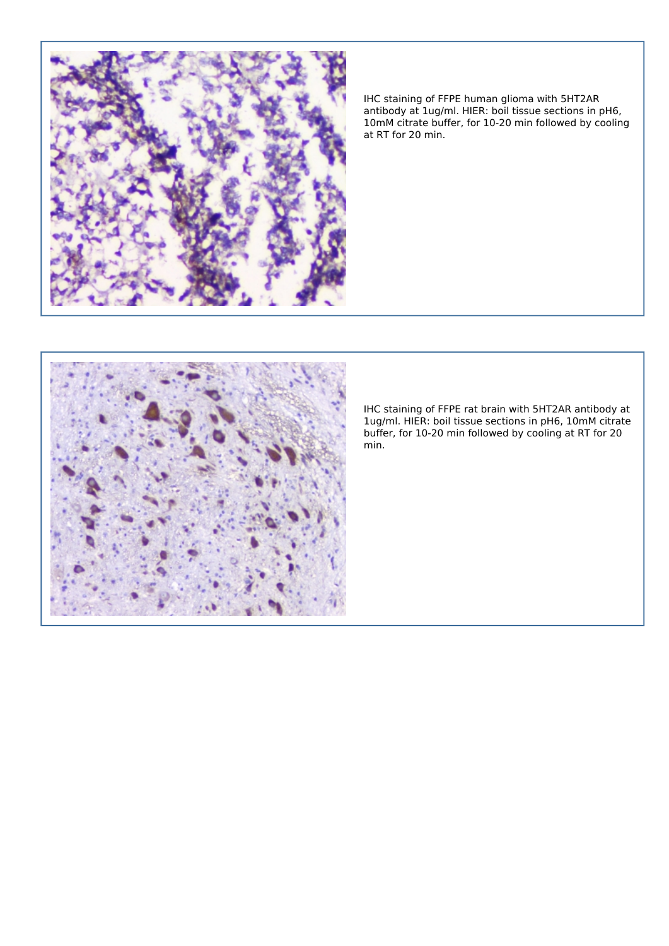

*IHC staining of FFPE human glioma with 5HT2AR antibody at 1ug/ml. HIER: boil tissue sections in pH6, 10mM citrate buffer, for 10-20 min followed by cooling at RT for 20 min.*



*IHC staining of FFPE rat brain with 5HT2AR antibody at 1ug/ml. HIER: boil tissue sections in pH6, 10mM citrate buffer, for 10-20 min followed by cooling at RT for 20 min.*